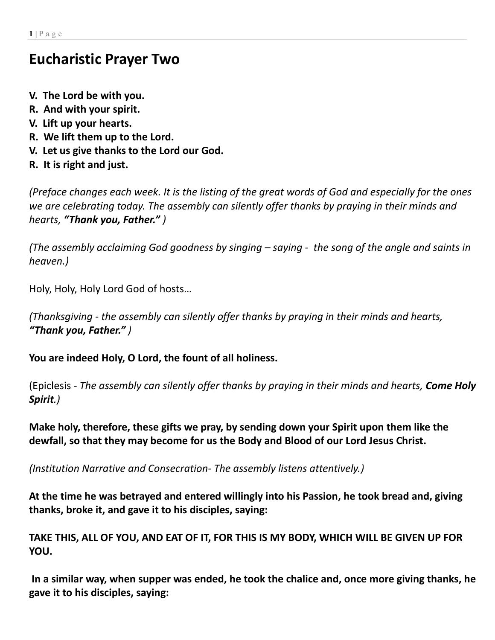## **Eucharistic Prayer Two**

- **V. The Lord be with you.**
- **R. And with your spirit.**
- **V. Lift up your hearts.**
- **R. We lift them up to the Lord.**
- **V. Let us give thanks to the Lord our God.**
- **R. It is right and just.**

*(Preface changes each week. It is the listing of the great words of God and especially for the ones we are celebrating today. The assembly can silently offer thanks by praying in their minds and hearts, "Thank you, Father." )*

*(The assembly acclaiming God goodness by singing – saying - the song of the angle and saints in heaven.)*

Holy, Holy, Holy Lord God of hosts…

*(Thanksgiving - the assembly can silently offer thanks by praying in their minds and hearts, "Thank you, Father." )*

**You are indeed Holy, O Lord, the fount of all holiness.**

(Epiclesis - *The assembly can silently offer thanks by praying in their minds and hearts, Come Holy Spirit.)*

**Make holy, therefore, these gifts we pray, by sending down your Spirit upon them like the dewfall, so that they may become for us the Body and Blood of our Lord Jesus Christ.** 

*(Institution Narrative and Consecration- The assembly listens attentively.)*

**At the time he was betrayed and entered willingly into his Passion, he took bread and, giving thanks, broke it, and gave it to his disciples, saying:**

**TAKE THIS, ALL OF YOU, AND EAT OF IT, FOR THIS IS MY BODY, WHICH WILL BE GIVEN UP FOR YOU.**

**In a similar way, when supper was ended, he took the chalice and, once more giving thanks, he gave it to his disciples, saying:**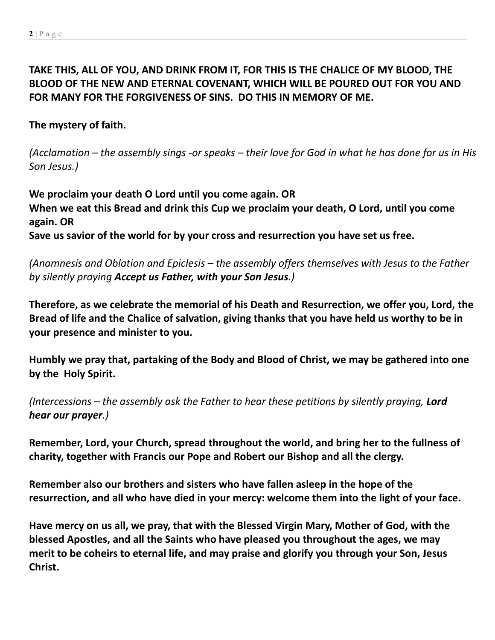### **TAKE THIS, ALL OF YOU, AND DRINK FROM IT, FOR THIS IS THE CHALICE OF MY BLOOD, THE BLOOD OF THE NEW AND ETERNAL COVENANT, WHICH WILL BE POURED OUT FOR YOU AND FOR MANY FOR THE FORGIVENESS OF SINS. DO THIS IN MEMORY OF ME.**

#### **The mystery of faith.**

*(Acclamation – the assembly sings -or speaks – their love for God in what he has done for us in His Son Jesus.)* 

**We proclaim your death O Lord until you come again. OR When we eat this Bread and drink this Cup we proclaim your death, O Lord, until you come again. OR Save us savior of the world for by your cross and resurrection you have set us free.** 

*(Anamnesis and Oblation and Epiclesis – the assembly offers themselves with Jesus to the Father by silently praying Accept us Father, with your Son Jesus.)*

**Therefore, as we celebrate the memorial of his Death and Resurrection, we offer you, Lord, the Bread of life and the Chalice of salvation, giving thanks that you have held us worthy to be in your presence and minister to you.**

**Humbly we pray that, partaking of the Body and Blood of Christ, we may be gathered into one by the Holy Spirit.**

*(Intercessions – the assembly ask the Father to hear these petitions by silently praying, Lord hear our prayer.)*

**Remember, Lord, your Church, spread throughout the world, and bring her to the fullness of charity, together with Francis our Pope and Robert our Bishop and all the clergy.**

**Remember also our brothers and sisters who have fallen asleep in the hope of the resurrection, and all who have died in your mercy: welcome them into the light of your face.**

**Have mercy on us all, we pray, that with the Blessed Virgin Mary, Mother of God, with the blessed Apostles, and all the Saints who have pleased you throughout the ages, we may merit to be coheirs to eternal life, and may praise and glorify you through your Son, Jesus Christ.**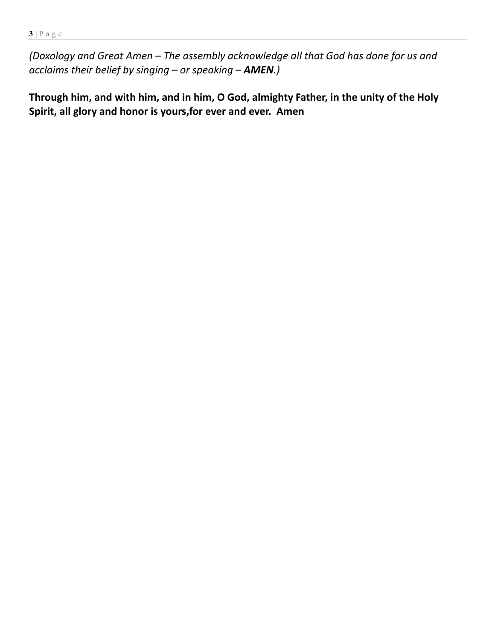*(Doxology and Great Amen – The assembly acknowledge all that God has done for us and acclaims their belief by singing – or speaking – AMEN.)*

**Through him, and with him, and in him, O God, almighty Father, in the unity of the Holy Spirit, all glory and honor is yours,for ever and ever. Amen**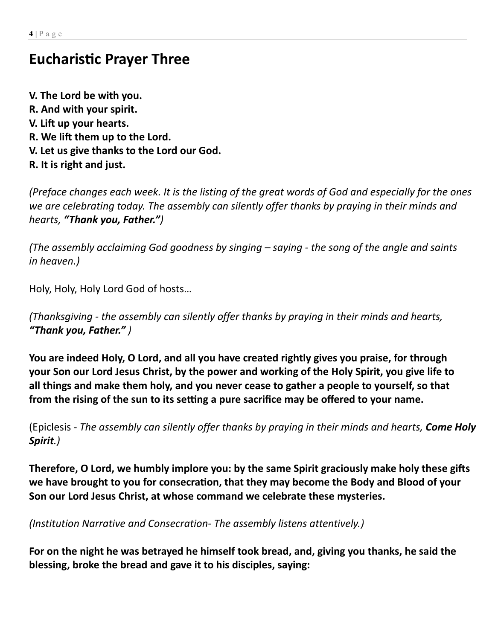# **Eucharistic Prayer Three**

**V. The Lord be with you. R. And with your spirit. V. Lift up your hearts. R. We lift them up to the Lord. V. Let us give thanks to the Lord our God. R. It is right and just.**

*(Preface changes each week. It is the listing of the great words of God and especially for the ones we are celebrating today. The assembly can silently offer thanks by praying in their minds and hearts, "Thank you, Father.")*

*(The assembly acclaiming God goodness by singing – saying - the song of the angle and saints in heaven.)*

Holy, Holy, Holy Lord God of hosts…

*(Thanksgiving - the assembly can silently offer thanks by praying in their minds and hearts, "Thank you, Father." )*

**You are indeed Holy, O Lord, and all you have created rightly gives you praise, for through your Son our Lord Jesus Christ, by the power and working of the Holy Spirit, you give life to all things and make them holy, and you never cease to gather a people to yourself, so that from the rising of the sun to its setting a pure sacrifice may be offered to your name.** 

(Epiclesis - *The assembly can silently offer thanks by praying in their minds and hearts, Come Holy Spirit.)*

**Therefore, O Lord, we humbly implore you: by the same Spirit graciously make holy these gifts we have brought to you for consecration, that they may become the Body and Blood of your Son our Lord Jesus Christ, at whose command we celebrate these mysteries.** 

*(Institution Narrative and Consecration- The assembly listens attentively.)*

**For on the night he was betrayed he himself took bread, and, giving you thanks, he said the blessing, broke the bread and gave it to his disciples, saying:**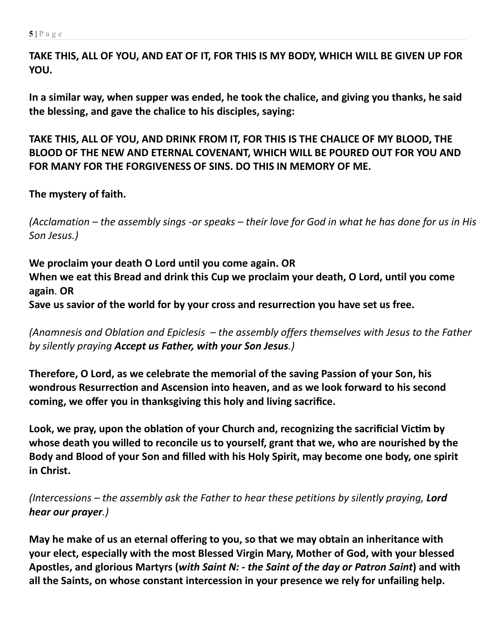**TAKE THIS, ALL OF YOU, AND EAT OF IT, FOR THIS IS MY BODY, WHICH WILL BE GIVEN UP FOR YOU.** 

**In a similar way, when supper was ended, he took the chalice, and giving you thanks, he said the blessing, and gave the chalice to his disciples, saying:** 

**TAKE THIS, ALL OF YOU, AND DRINK FROM IT, FOR THIS IS THE CHALICE OF MY BLOOD, THE BLOOD OF THE NEW AND ETERNAL COVENANT, WHICH WILL BE POURED OUT FOR YOU AND FOR MANY FOR THE FORGIVENESS OF SINS. DO THIS IN MEMORY OF ME.** 

#### **The mystery of faith.**

*(Acclamation – the assembly sings -or speaks – their love for God in what he has done for us in His Son Jesus.)* 

**We proclaim your death O Lord until you come again. OR When we eat this Bread and drink this Cup we proclaim your death, O Lord, until you come again**. **OR Save us savior of the world for by your cross and resurrection you have set us free.** 

*(Anamnesis and Oblation and Epiclesis – the assembly offers themselves with Jesus to the Father by silently praying Accept us Father, with your Son Jesus.)*

**Therefore, O Lord, as we celebrate the memorial of the saving Passion of your Son, his wondrous Resurrection and Ascension into heaven, and as we look forward to his second coming, we offer you in thanksgiving this holy and living sacrifice.** 

**Look, we pray, upon the oblation of your Church and, recognizing the sacrificial Victim by whose death you willed to reconcile us to yourself, grant that we, who are nourished by the Body and Blood of your Son and filled with his Holy Spirit, may become one body, one spirit in Christ.** 

*(Intercessions – the assembly ask the Father to hear these petitions by silently praying, Lord hear our prayer.)*

**May he make of us an eternal offering to you, so that we may obtain an inheritance with your elect, especially with the most Blessed Virgin Mary, Mother of God, with your blessed Apostles, and glorious Martyrs (***with Saint N: - the Saint of the day or Patron Saint***) and with all the Saints, on whose constant intercession in your presence we rely for unfailing help.**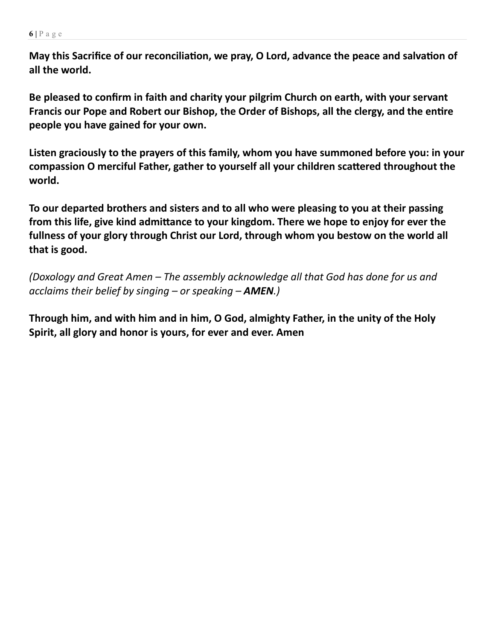**May this Sacrifice of our reconciliation, we pray, O Lord, advance the peace and salvation of all the world.** 

**Be pleased to confirm in faith and charity your pilgrim Church on earth, with your servant Francis our Pope and Robert our Bishop, the Order of Bishops, all the clergy, and the entire people you have gained for your own.** 

**Listen graciously to the prayers of this family, whom you have summoned before you: in your compassion O merciful Father, gather to yourself all your children scattered throughout the world.** 

**To our departed brothers and sisters and to all who were pleasing to you at their passing from this life, give kind admittance to your kingdom. There we hope to enjoy for ever the fullness of your glory through Christ our Lord, through whom you bestow on the world all that is good.** 

*(Doxology and Great Amen – The assembly acknowledge all that God has done for us and acclaims their belief by singing – or speaking – AMEN.)*

**Through him, and with him and in him, O God, almighty Father, in the unity of the Holy Spirit, all glory and honor is yours, for ever and ever. Amen**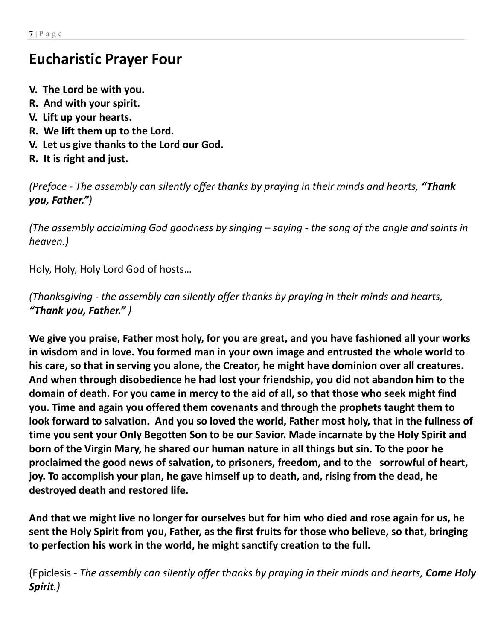## **Eucharistic Prayer Four**

- **V. The Lord be with you.**
- **R. And with your spirit.**
- **V. Lift up your hearts.**
- **R. We lift them up to the Lord.**
- **V. Let us give thanks to the Lord our God.**
- **R. It is right and just.**

*(Preface - The assembly can silently offer thanks by praying in their minds and hearts, "Thank you, Father.")* 

*(The assembly acclaiming God goodness by singing – saying - the song of the angle and saints in heaven.)*

Holy, Holy, Holy Lord God of hosts…

*(Thanksgiving - the assembly can silently offer thanks by praying in their minds and hearts, "Thank you, Father." )*

**We give you praise, Father most holy, for you are great, and you have fashioned all your works in wisdom and in love. You formed man in your own image and entrusted the whole world to his care, so that in serving you alone, the Creator, he might have dominion over all creatures. And when through disobedience he had lost your friendship, you did not abandon him to the domain of death. For you came in mercy to the aid of all, so that those who seek might find you. Time and again you offered them covenants and through the prophets taught them to look forward to salvation. And you so loved the world, Father most holy, that in the fullness of time you sent your Only Begotten Son to be our Savior. Made incarnate by the Holy Spirit and born of the Virgin Mary, he shared our human nature in all things but sin. To the poor he proclaimed the good news of salvation, to prisoners, freedom, and to the sorrowful of heart, joy. To accomplish your plan, he gave himself up to death, and, rising from the dead, he destroyed death and restored life.**

**And that we might live no longer for ourselves but for him who died and rose again for us, he sent the Holy Spirit from you, Father, as the first fruits for those who believe, so that, bringing to perfection his work in the world, he might sanctify creation to the full.**

(Epiclesis - *The assembly can silently offer thanks by praying in their minds and hearts, Come Holy Spirit.)*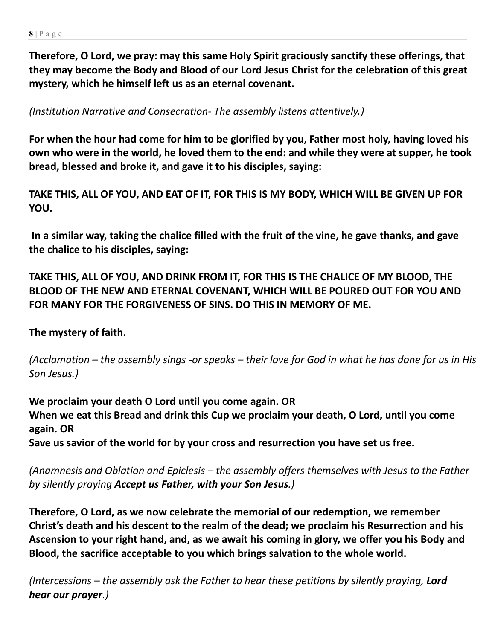**Therefore, O Lord, we pray: may this same Holy Spirit graciously sanctify these offerings, that they may become the Body and Blood of our Lord Jesus Christ for the celebration of this great mystery, which he himself left us as an eternal covenant.**

*(Institution Narrative and Consecration- The assembly listens attentively.)*

**For when the hour had come for him to be glorified by you, Father most holy, having loved his own who were in the world, he loved them to the end: and while they were at supper, he took bread, blessed and broke it, and gave it to his disciples, saying:**

**TAKE THIS, ALL OF YOU, AND EAT OF IT, FOR THIS IS MY BODY, WHICH WILL BE GIVEN UP FOR YOU.**

**In a similar way, taking the chalice filled with the fruit of the vine, he gave thanks, and gave the chalice to his disciples, saying:**

**TAKE THIS, ALL OF YOU, AND DRINK FROM IT, FOR THIS IS THE CHALICE OF MY BLOOD, THE BLOOD OF THE NEW AND ETERNAL COVENANT, WHICH WILL BE POURED OUT FOR YOU AND FOR MANY FOR THE FORGIVENESS OF SINS. DO THIS IN MEMORY OF ME.**

**The mystery of faith.**

*(Acclamation – the assembly sings -or speaks – their love for God in what he has done for us in His Son Jesus.)* 

**We proclaim your death O Lord until you come again. OR When we eat this Bread and drink this Cup we proclaim your death, O Lord, until you come again. OR Save us savior of the world for by your cross and resurrection you have set us free.** 

*(Anamnesis and Oblation and Epiclesis – the assembly offers themselves with Jesus to the Father by silently praying Accept us Father, with your Son Jesus.)*

**Therefore, O Lord, as we now celebrate the memorial of our redemption, we remember Christ's death and his descent to the realm of the dead; we proclaim his Resurrection and his Ascension to your right hand, and, as we await his coming in glory, we offer you his Body and Blood, the sacrifice acceptable to you which brings salvation to the whole world.**

*(Intercessions – the assembly ask the Father to hear these petitions by silently praying, Lord hear our prayer.)*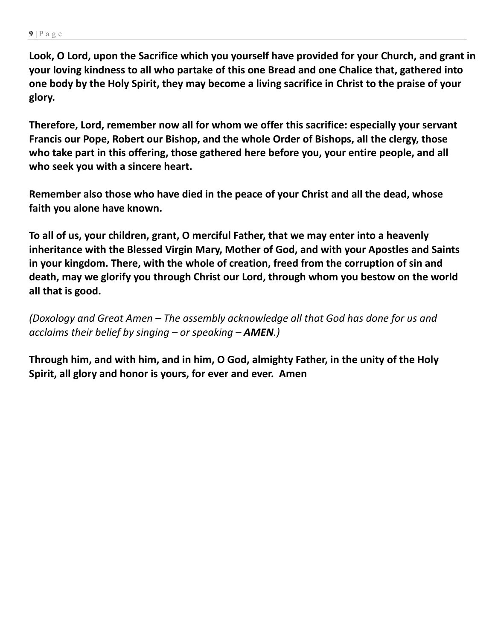**Look, O Lord, upon the Sacrifice which you yourself have provided for your Church, and grant in your loving kindness to all who partake of this one Bread and one Chalice that, gathered into one body by the Holy Spirit, they may become a living sacrifice in Christ to the praise of your glory.** 

**Therefore, Lord, remember now all for whom we offer this sacrifice: especially your servant Francis our Pope, Robert our Bishop, and the whole Order of Bishops, all the clergy, those who take part in this offering, those gathered here before you, your entire people, and all who seek you with a sincere heart.**

**Remember also those who have died in the peace of your Christ and all the dead, whose faith you alone have known.**

**To all of us, your children, grant, O merciful Father, that we may enter into a heavenly inheritance with the Blessed Virgin Mary, Mother of God, and with your Apostles and Saints in your kingdom. There, with the whole of creation, freed from the corruption of sin and death, may we glorify you through Christ our Lord, through whom you bestow on the world all that is good.**

*(Doxology and Great Amen – The assembly acknowledge all that God has done for us and acclaims their belief by singing – or speaking – AMEN.)*

**Through him, and with him, and in him, O God, almighty Father, in the unity of the Holy Spirit, all glory and honor is yours, for ever and ever. Amen**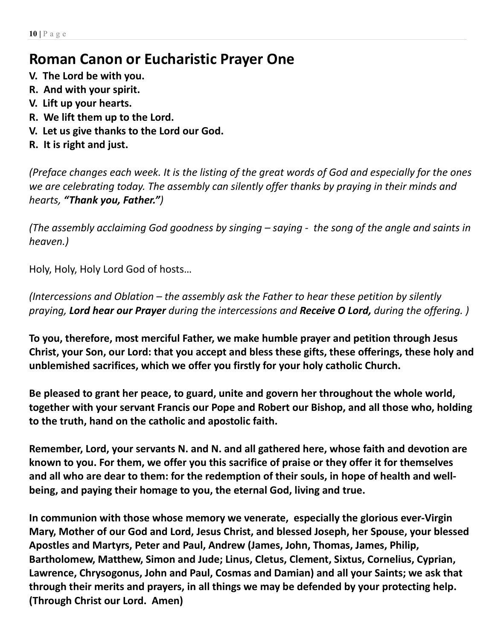## **Roman Canon or Eucharistic Prayer One**

- **V. The Lord be with you.**
- **R. And with your spirit.**
- **V. Lift up your hearts.**
- **R. We lift them up to the Lord.**
- **V. Let us give thanks to the Lord our God.**
- **R. It is right and just.**

*(Preface changes each week. It is the listing of the great words of God and especially for the ones we are celebrating today. The assembly can silently offer thanks by praying in their minds and hearts, "Thank you, Father.")* 

*(The assembly acclaiming God goodness by singing – saying - the song of the angle and saints in heaven.)*

Holy, Holy, Holy Lord God of hosts…

*(Intercessions and Oblation – the assembly ask the Father to hear these petition by silently praying, Lord hear our Prayer during the intercessions and Receive O Lord, during the offering. )*

**To you, therefore, most merciful Father, we make humble prayer and petition through Jesus Christ, your Son, our Lord: that you accept and bless these gifts, these offerings, these holy and unblemished sacrifices, which we offer you firstly for your holy catholic Church.** 

**Be pleased to grant her peace, to guard, unite and govern her throughout the whole world, together with your servant Francis our Pope and Robert our Bishop, and all those who, holding to the truth, hand on the catholic and apostolic faith.**

**Remember, Lord, your servants N. and N. and all gathered here, whose faith and devotion are known to you. For them, we offer you this sacrifice of praise or they offer it for themselves and all who are dear to them: for the redemption of their souls, in hope of health and wellbeing, and paying their homage to you, the eternal God, living and true.**

**In communion with those whose memory we venerate, especially the glorious ever-Virgin Mary, Mother of our God and Lord, Jesus Christ, and blessed Joseph, her Spouse, your blessed Apostles and Martyrs, Peter and Paul, Andrew (James, John, Thomas, James, Philip, Bartholomew, Matthew, Simon and Jude; Linus, Cletus, Clement, Sixtus, Cornelius, Cyprian, Lawrence, Chrysogonus, John and Paul, Cosmas and Damian) and all your Saints; we ask that through their merits and prayers, in all things we may be defended by your protecting help. (Through Christ our Lord. Amen)**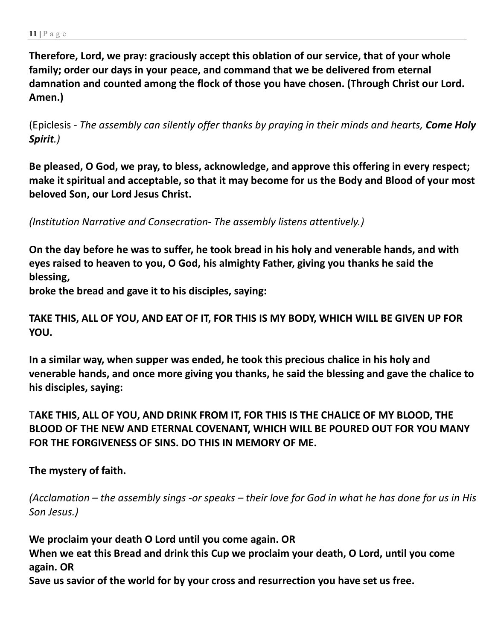**Therefore, Lord, we pray: graciously accept this oblation of our service, that of your whole family; order our days in your peace, and command that we be delivered from eternal damnation and counted among the flock of those you have chosen. (Through Christ our Lord. Amen.)**

(Epiclesis - *The assembly can silently offer thanks by praying in their minds and hearts, Come Holy Spirit.)*

**Be pleased, O God, we pray, to bless, acknowledge, and approve this offering in every respect; make it spiritual and acceptable, so that it may become for us the Body and Blood of your most beloved Son, our Lord Jesus Christ.**

*(Institution Narrative and Consecration- The assembly listens attentively.)*

**On the day before he was to suffer, he took bread in his holy and venerable hands, and with eyes raised to heaven to you, O God, his almighty Father, giving you thanks he said the blessing,** 

**broke the bread and gave it to his disciples, saying:** 

**TAKE THIS, ALL OF YOU, AND EAT OF IT, FOR THIS IS MY BODY, WHICH WILL BE GIVEN UP FOR YOU.** 

**In a similar way, when supper was ended, he took this precious chalice in his holy and venerable hands, and once more giving you thanks, he said the blessing and gave the chalice to his disciples, saying:** 

T**AKE THIS, ALL OF YOU, AND DRINK FROM IT, FOR THIS IS THE CHALICE OF MY BLOOD, THE BLOOD OF THE NEW AND ETERNAL COVENANT, WHICH WILL BE POURED OUT FOR YOU MANY FOR THE FORGIVENESS OF SINS. DO THIS IN MEMORY OF ME.**

**The mystery of faith.**

*(Acclamation – the assembly sings -or speaks – their love for God in what he has done for us in His Son Jesus.)* 

**We proclaim your death O Lord until you come again. OR When we eat this Bread and drink this Cup we proclaim your death, O Lord, until you come again. OR Save us savior of the world for by your cross and resurrection you have set us free.**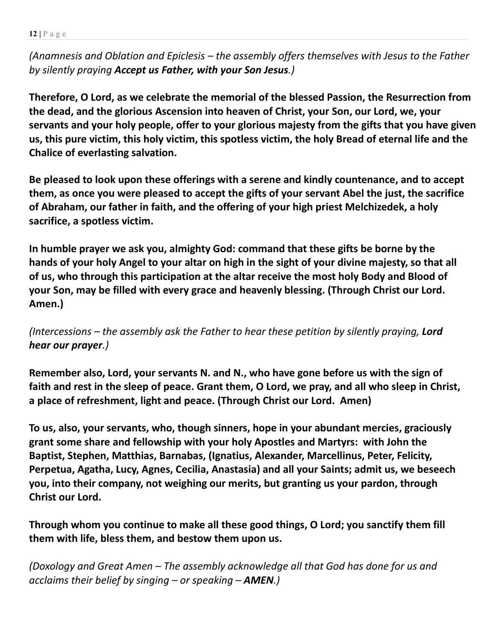**12 |** P a g e

*(Anamnesis and Oblation and Epiclesis – the assembly offers themselves with Jesus to the Father by silently praying Accept us Father, with your Son Jesus.)*

**Therefore, O Lord, as we celebrate the memorial of the blessed Passion, the Resurrection from the dead, and the glorious Ascension into heaven of Christ, your Son, our Lord, we, your servants and your holy people, offer to your glorious majesty from the gifts that you have given us, this pure victim, this holy victim, this spotless victim, the holy Bread of eternal life and the Chalice of everlasting salvation.**

**Be pleased to look upon these offerings with a serene and kindly countenance, and to accept them, as once you were pleased to accept the gifts of your servant Abel the just, the sacrifice of Abraham, our father in faith, and the offering of your high priest Melchizedek, a holy sacrifice, a spotless victim.**

**In humble prayer we ask you, almighty God: command that these gifts be borne by the hands of your holy Angel to your altar on high in the sight of your divine majesty, so that all of us, who through this participation at the altar receive the most holy Body and Blood of your Son, may be filled with every grace and heavenly blessing. (Through Christ our Lord. Amen.)**

*(Intercessions – the assembly ask the Father to hear these petition by silently praying, Lord hear our prayer.)*

**Remember also, Lord, your servants N. and N., who have gone before us with the sign of faith and rest in the sleep of peace. Grant them, O Lord, we pray, and all who sleep in Christ, a place of refreshment, light and peace. (Through Christ our Lord. Amen)**

**To us, also, your servants, who, though sinners, hope in your abundant mercies, graciously grant some share and fellowship with your holy Apostles and Martyrs: with John the Baptist, Stephen, Matthias, Barnabas, (Ignatius, Alexander, Marcellinus, Peter, Felicity, Perpetua, Agatha, Lucy, Agnes, Cecilia, Anastasia) and all your Saints; admit us, we beseech you, into their company, not weighing our merits, but granting us your pardon, through Christ our Lord.**

**Through whom you continue to make all these good things, O Lord; you sanctify them fill them with life, bless them, and bestow them upon us.**

*(Doxology and Great Amen – The assembly acknowledge all that God has done for us and acclaims their belief by singing – or speaking – AMEN.)*